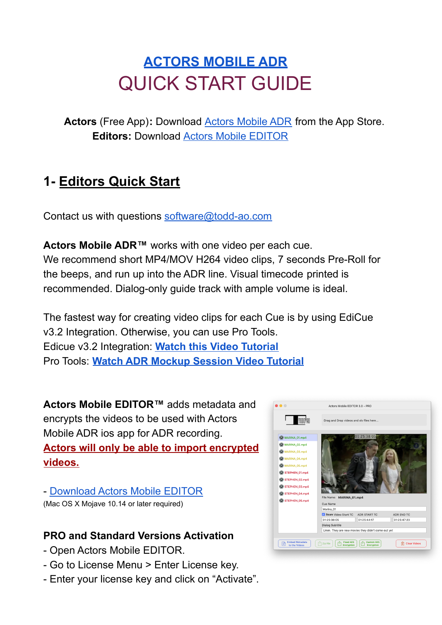# **[ACTORS MOBILE ADR](https://actorsmobileadr.com/)** QUICK START GUIDE

**Actors** (Free App)**:** Download Actors [Mobile](https://apps.apple.com/us/app/actors-mobile-adr/id1485569437) ADR from the App Store. **Editors:** Download Actors Mobile [EDITOR](https://actorsmobileadr.com/Actors_Mobile_EDITOR.zip)

## **1- Editors Quick Start**

Contact us with questions [software@todd-ao.com](mailto:software@todd-ao.com)

**Actors Mobile ADR™** works with one video per each cue. We recommend short MP4/MOV H264 video clips, 7 seconds Pre-Roll for the beeps, and run up into the ADR line. Visual timecode printed is recommended. Dialog-only guide track with ample volume is ideal.

The fastest way for creating video clips for each Cue is by using EdiCue v3.2 Integration. Otherwise, you can use Pro Tools. Edicue v3.2 Integration: **Watch this Video [Tutorial](https://youtu.be/04kb3hk-WDc)** Pro Tools: **Watch ADR Mockup [Session](https://youtu.be/rV8kj7qAhgQ) Video Tutorial**

**Actors Mobile EDITOR™** adds metadata and encrypts the videos to be used with Actors Mobile ADR ios app for ADR recording. **Actors will only be able to import encrypted videos.**

- [Download](https://actorsmobileadr.com/Actors_Mobile_EDITOR.zip) Actors Mobile EDITOR (Mac OS X Mojave 10.14 or later required)

#### **PRO and Standard Versions Activation**

- Open Actors Mobile EDITOR.
- Go to License Menu > Enter License key.
- Enter your license key and click on "Activate".

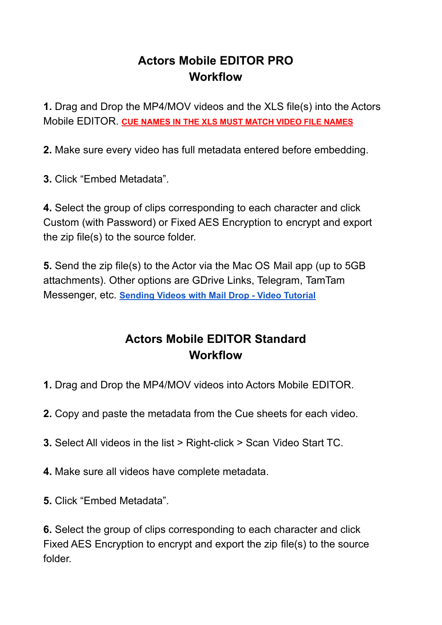#### **Actors Mobile EDITOR PRO Workflow**

**1.** Drag and Drop the MP4/MOV videos and the XLS file(s) into the Actors Mobile EDITOR. **CUE NAMES IN THE XLS MUST MATCH VIDEO FILE NAMES**

**2.** Make sure every video has full metadata entered before embedding.

**3.** Click "Embed Metadata".

**4.** Select the group of clips corresponding to each character and click Custom (with Password) or Fixed AES Encryption to encrypt and export the zip file(s) to the source folder.

**5.** Send the zip file(s) to the Actor via the Mac OS Mail app (up to 5GB attachments). Other options are GDrive Links, Telegram, TamTam Messenger, etc. **[Sending Videos with Mail Drop - Video](https://www.youtube.com/watch?v=GPX_0lDqato) Tutorial**

#### **Actors Mobile EDITOR Standard Workflow**

- **1.** Drag and Drop the MP4/MOV videos into Actors Mobile EDITOR.
- **2.** Copy and paste the metadata from the Cue sheets for each video.
- **3.** Select All videos in the list > Right-click > Scan Video Start TC.
- **4.** Make sure all videos have complete metadata.
- **5.** Click "Embed Metadata".

**6.** Select the group of clips corresponding to each character and click Fixed AES Encryption to encrypt and export the zip file(s) to the source folder.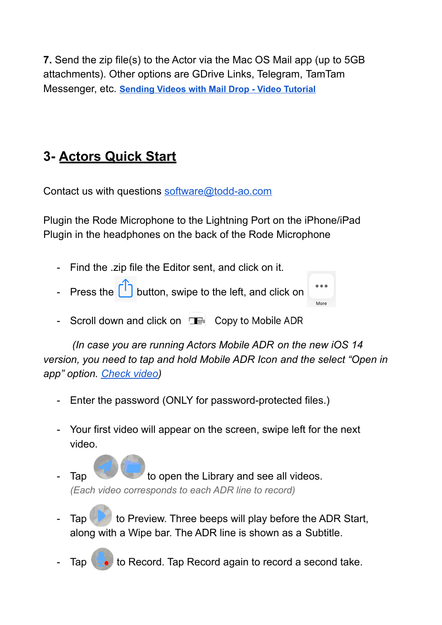**7.** Send the zip file(s) to the Actor via the Mac OS Mail app (up to 5GB attachments). Other options are GDrive Links, Telegram, TamTam Messenger, etc. **[Sending Videos with Mail Drop - Video](https://www.youtube.com/watch?v=GPX_0lDqato) Tutorial**

# **3- Actors Quick Start**

Contact us with questions [software@todd-ao.com](mailto:software@todd-ao.com)

Plugin the Rode Microphone to the Lightning Port on the iPhone/iPad Plugin in the headphones on the back of the Rode Microphone

- Find the .zip file the Editor sent, and click on it.
- Press the  $\begin{bmatrix} 1 \end{bmatrix}$  button, swipe to the left, and click on
- Scroll down and click on  $\Box$  Copy to Mobile ADR

*(In case you are running Actors Mobile ADR on the new iOS 14 version, you need to tap and hold Mobile ADR Icon and the select "Open in app" option. [Check](https://youtu.be/UMP52KmqVNY) video)*

More

- Enter the password (ONLY for password-protected files.)
- Your first video will appear on the screen, swipe left for the next video.
- Tap to open the Library and see all videos. *(Each video corresponds to each ADR line to record)*
- Tap  $\sim$  to Preview. Three beeps will play before the ADR Start, along with a Wipe bar. The ADR line is shown as a Subtitle.
- Tap  $\left( \bullet \right)$  to Record. Tap Record again to record a second take.